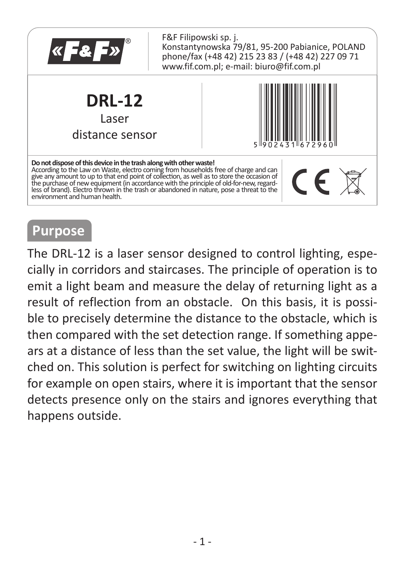

### **Purpose**

The DRL-12 is a laser sensor designed to control lighting, especially in corridors and staircases. The principle of operation is to emit a light beam and measure the delay of returning light as a result of reflection from an obstacle. On this basis, it is possible to precisely determine the distance to the obstacle, which is then compared with the set detection range. If something appears at a distance of less than the set value, the light will be switched on. This solution is perfect for switching on lighting circuits for example on open stairs, where it is important that the sensor detects presence only on the stairs and ignores everything that happens outside.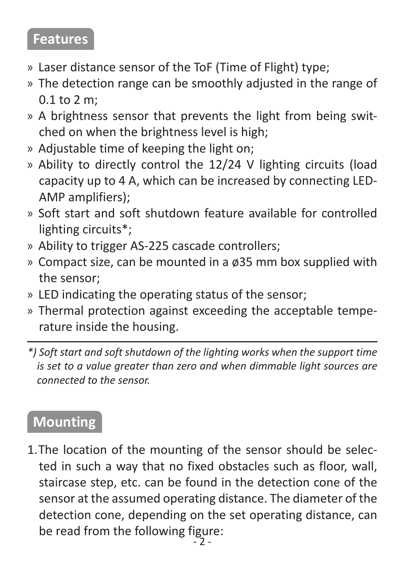#### **Features**

- » Laser distance sensor of the ToF (Time of Flight) type;
- » The detection range can be smoothly adjusted in the range of 0.1 to 2 m;
- » A brightness sensor that prevents the light from being switched on when the brightness level is high;
- » Adjustable time of keeping the light on:
- » Ability to directly control the 12/24 V lighting circuits (load capacity up to 4 A, which can be increased by connecting LED-AMP amplifiers);
- » Soft start and soft shutdown feature available for controlled lighting circuits\*;
- » Ability to trigger AS-225 cascade controllers;
- » Compact size, can be mounted in a ø35 mm box supplied with the sensor;
- » LED indicating the operating status of the sensor;
- » Thermal protection against exceeding the acceptable temperature inside the housing.
- *\*) Soft start and soft shutdown of the lighting works when the support time is set to a value greater than zero and when dimmable light sources are connected to the sensor.*

## **Mounting**

1. The location of the mounting of the sensor should be selected in such a way that no fixed obstacles such as floor, wall, staircase step, etc. can be found in the detection cone of the sensor at the assumed operating distance. The diameter of the detection cone, depending on the set operating distance, can be read from the following figure: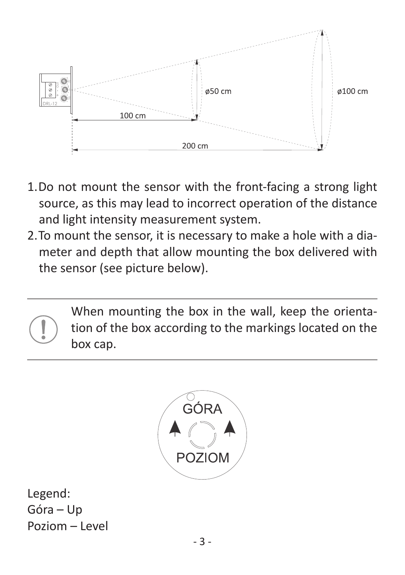

- 1. Do not mount the sensor with the front-facing a strong light source, as this may lead to incorrect operation of the distance and light intensity measurement system.
- 2. To mount the sensor, it is necessary to make a hole with a diameter and depth that allow mounting the box delivered with the sensor (see picture below).





Legend: Góra – Up Poziom – Level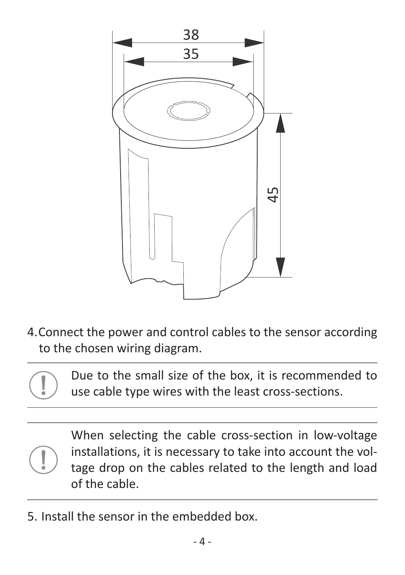

4. Connect the power and control cables to the sensor according to the chosen wiring diagram.

Due to the small size of the box, it is recommended to use cable type wires with the least cross-sections.

When selecting the cable cross-section in low-voltage installations, it is necessary to take into account the voltage drop on the cables related to the length and load of the cable.

5.Install the sensor in the embedded box.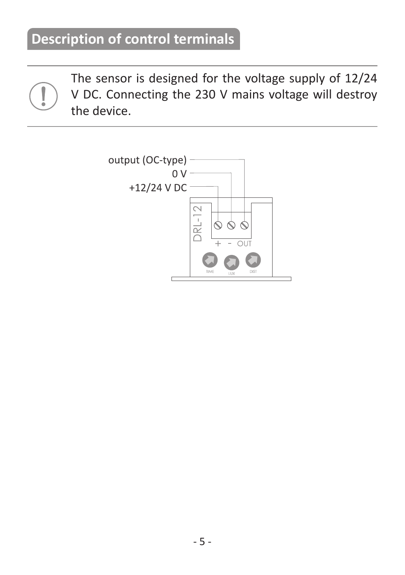The sensor is designed for the voltage supply of 12/24 V DC. Connecting the 230 V mains voltage will destroy the device.

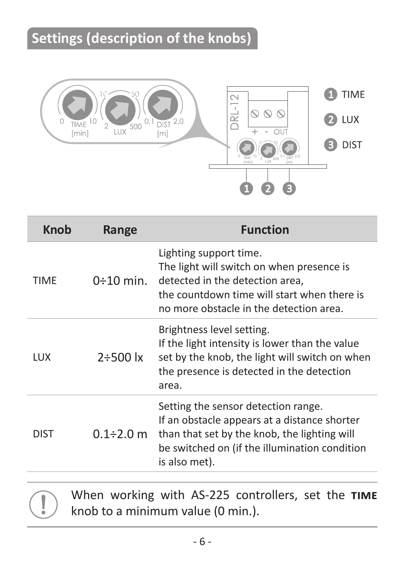# **Settings (description of the knobs)**



| <b>Knob</b> | Range           | <b>Function</b>                                                                                                                                                                                       |
|-------------|-----------------|-------------------------------------------------------------------------------------------------------------------------------------------------------------------------------------------------------|
| TIME        | $0:10$ min.     | Lighting support time.<br>The light will switch on when presence is<br>detected in the detection area.<br>the countdown time will start when there is<br>no more obstacle in the detection area.      |
| LUX         | $2 + 500$ lx    | Brightness level setting.<br>If the light intensity is lower than the value<br>set by the knob, the light will switch on when<br>the presence is detected in the detection<br>area.                   |
| DIST        | $0.1\div 2.0$ m | Setting the sensor detection range.<br>If an obstacle appears at a distance shorter<br>than that set by the knob, the lighting will<br>be switched on (if the illumination condition<br>is also met). |



When working with AS-225 controllers, set the TIME knob to a minimum value (0 min.).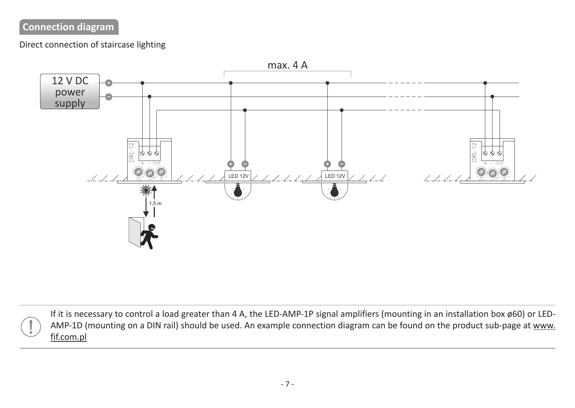## **Connection diagram**

#### Direct connection of staircase lighting



If it is necessary to control a load greater than 4 A, the LED-AMP-1P signal amplifiers (mounting in an installation box ø60) or LED-AMP-1D (mounting on a DIN rail) should be used. An example connection diagram can be found on the product sub-page at www. fif.com.pl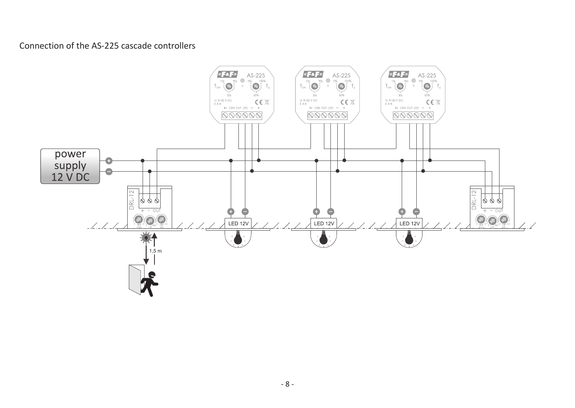#### Connection of the AS-225 cascade controllers

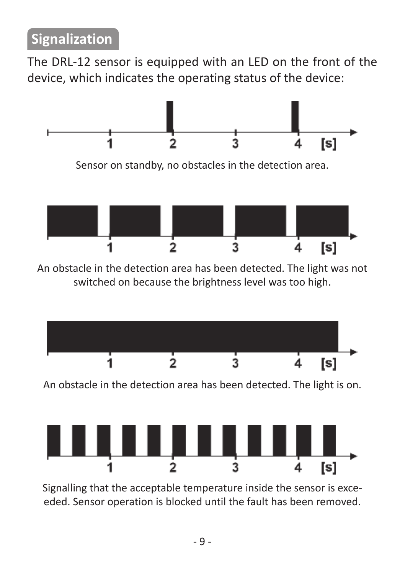The DRL-12 sensor is equipped with an LED on the front of the device, which indicates the operating status of the device:





[s]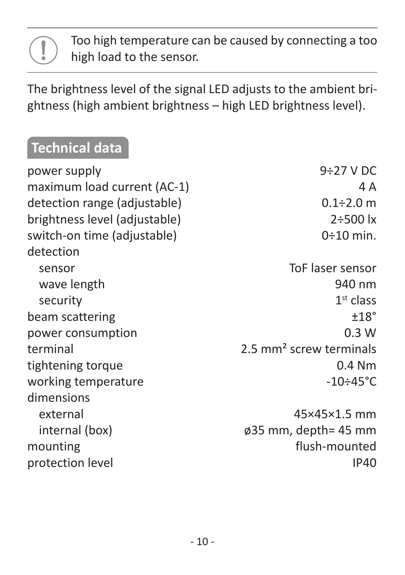#### Too high temperature can be caused by connecting a too high load to the sensor.

The brightness level of the signal LED adjusts to the ambient brightness (high ambient brightness – high LED brightness level).

# **Technical data**

| power supply                  | $9:27$ V DC                         |
|-------------------------------|-------------------------------------|
| maximum load current (AC-1)   | 4 A                                 |
| detection range (adjustable)  | $0.1 \div 2.0$ m                    |
| brightness level (adjustable) | $2 + 500$ $\sigma$                  |
| switch-on time (adjustable)   | $0:10$ min.                         |
| detection                     |                                     |
| sensor                        | ToF laser sensor                    |
| wave length                   | 940 nm                              |
| security                      | $1st$ class                         |
| beam scattering               | ±18°                                |
| power consumption             | 0.3 W                               |
| terminal                      | 2.5 mm <sup>2</sup> screw terminals |
| tightening torque             | $0.4$ Nm                            |
| working temperature           | $-10 \div 45^{\circ}$ C             |
| dimensions                    |                                     |
| external                      | 45×45×1.5 mm                        |
| internal (box)                | ø35 mm, depth= 45 mm                |
| mounting                      | flush-mounted                       |
| protection level              | <b>IP40</b>                         |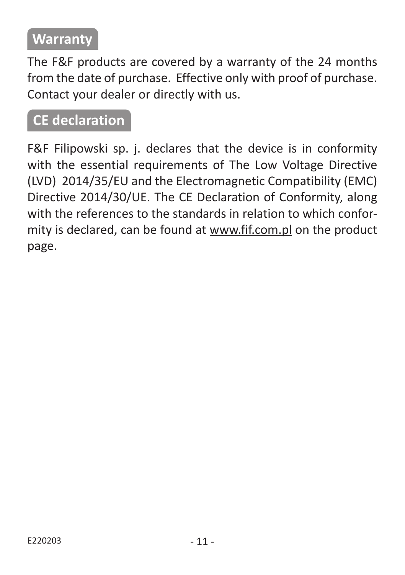## **Warranty**

The F&F products are covered by a warranty of the 24 months from the date of purchase. Effective only with proof of purchase. Contact your dealer or directly with us.

### **CE declaration**

F&F Filipowski sp. j. declares that the device is in conformity with the essential requirements of The Low Voltage Directive (LVD) 2014/35/EU and the Electromagnetic Compatibility (EMC) Directive 2014/30/UE. The CE Declaration of Conformity, along with the references to the standards in relation to which conformity is declared, can be found at www.fif.com.pl on the product page.